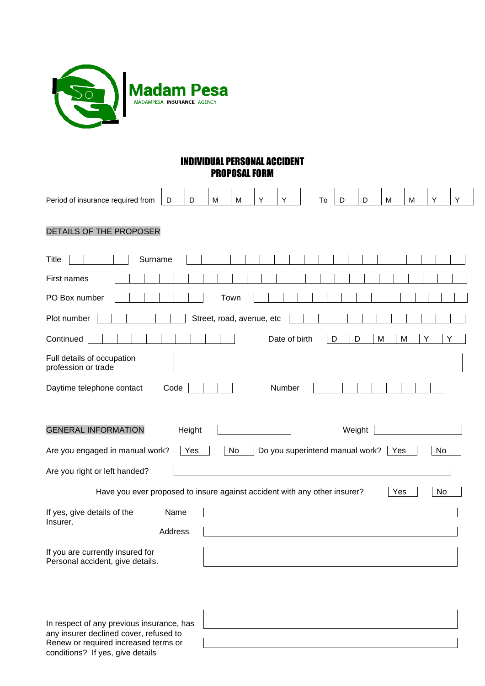

any insurer declined cover, refused to Renew or required increased terms or conditions? If yes, give details

| IUAL PERSONAL ACCIDENT<br><b>PROPOSAL FORM</b>                                                                                                                                    |  |  |  |  |  |
|-----------------------------------------------------------------------------------------------------------------------------------------------------------------------------------|--|--|--|--|--|
| Y<br>D<br>M<br>M<br>Y<br>Period of insurance required from<br>M<br>M<br>Υ<br>D<br>Υ<br>D<br>D<br>To                                                                               |  |  |  |  |  |
| DETAILS OF THE PROPOSER                                                                                                                                                           |  |  |  |  |  |
| Title<br>Surname                                                                                                                                                                  |  |  |  |  |  |
| First names                                                                                                                                                                       |  |  |  |  |  |
| PO Box number<br>Town                                                                                                                                                             |  |  |  |  |  |
| Plot number<br>Street, road, avenue, etc                                                                                                                                          |  |  |  |  |  |
| Continued<br>Date of birth<br>D<br>D<br>M<br>M<br>Y                                                                                                                               |  |  |  |  |  |
| Full details of occupation<br>profession or trade                                                                                                                                 |  |  |  |  |  |
| Code<br>Number<br>Daytime telephone contact                                                                                                                                       |  |  |  |  |  |
| Weight<br><b>GENERAL INFORMATION</b><br>Height<br>Do you superintend manual work?<br>Are you engaged in manual work?<br>Yes<br>No<br>No<br>  Yes<br>Are you right or left handed? |  |  |  |  |  |
| Have you ever proposed to insure against accident with any other insurer?<br>No<br>Yes                                                                                            |  |  |  |  |  |
| If yes, give details of the<br>Name<br>Insurer.<br>Address                                                                                                                        |  |  |  |  |  |
| If you are currently insured for<br>Personal accident, give details.                                                                                                              |  |  |  |  |  |
| In respect of any previous insurance, has                                                                                                                                         |  |  |  |  |  |